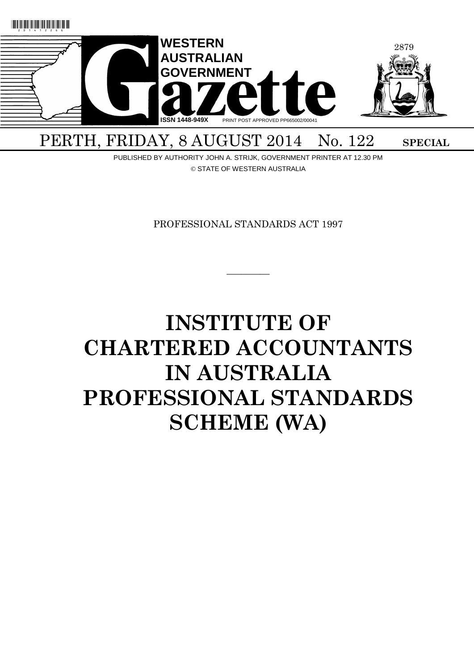

PERTH, FRIDAY, 8 AUGUST 2014 No. 122 SPECIAL

PUBLISHED BY AUTHORITY JOHN A. STRIJK, GOVERNMENT PRINTER AT 12.30 PM © STATE OF WESTERN AUSTRALIA

PROFESSIONAL STANDARDS ACT 1997

 $\overline{\phantom{a}}$ 

# **INSTITUTE OF CHARTERED ACCOUNTANTS IN AUSTRALIA PROFESSIONAL STANDARDS SCHEME (WA)**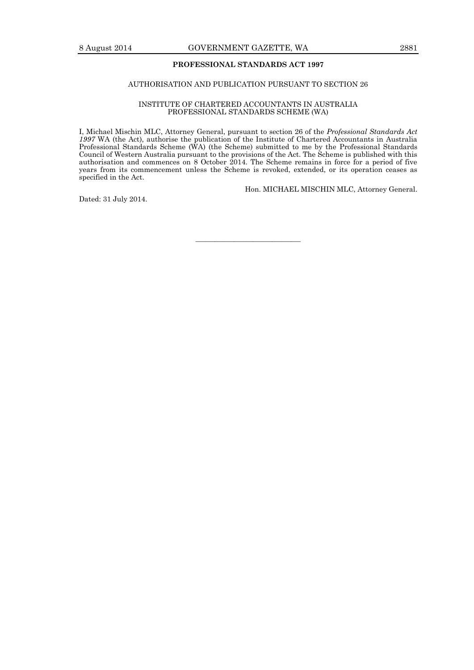## **PROFESSIONAL STANDARDS ACT 1997**

# AUTHORISATION AND PUBLICATION PURSUANT TO SECTION 26

#### INSTITUTE OF CHARTERED ACCOUNTANTS IN AUSTRALIA PROFESSIONAL STANDARDS SCHEME (WA)

I, Michael Mischin MLC, Attorney General, pursuant to section 26 of the *Professional Standards Act 1997* WA (the Act), authorise the publication of the Institute of Chartered Accountants in Australia Professional Standards Scheme (WA) (the Scheme) submitted to me by the Professional Standards Council of Western Australia pursuant to the provisions of the Act. The Scheme is published with this authorisation and commences on 8 October 2014. The Scheme remains in force for a period of five years from its commencement unless the Scheme is revoked, extended, or its operation ceases as specified in the Act.

Hon. MICHAEL MISCHIN MLC, Attorney General.

Dated: 31 July 2014.

———————————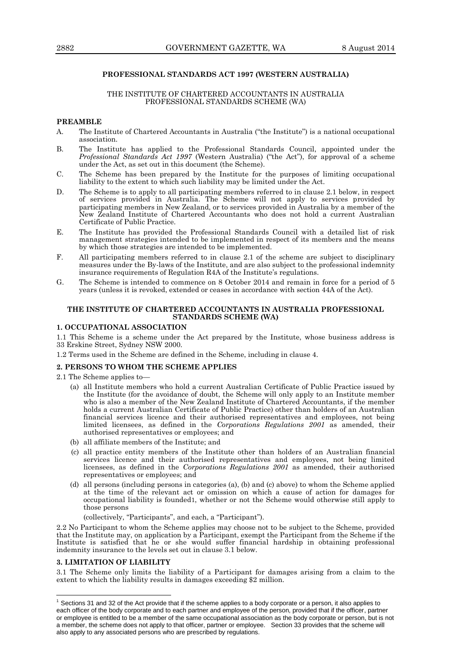# **PROFESSIONAL STANDARDS ACT 1997 (WESTERN AUSTRALIA)**

## THE INSTITUTE OF CHARTERED ACCOUNTANTS IN AUSTRALIA PROFESSIONAL STANDARDS SCHEME (WA)

## **PREAMBLE**

- A. The Institute of Chartered Accountants in Australia ("the Institute") is a national occupational association.
- B. The Institute has applied to the Professional Standards Council, appointed under the *Professional Standards Act 1997* (Western Australia) ("the Act"), for approval of a scheme under the Act, as set out in this document (the Scheme).
- C. The Scheme has been prepared by the Institute for the purposes of limiting occupational liability to the extent to which such liability may be limited under the Act.
- D. The Scheme is to apply to all participating members referred to in clause 2.1 below, in respect of services provided in Australia. The Scheme will not apply to services provided by participating members in New Zealand, or to services provided in Australia by a member of the New Zealand Institute of Chartered Accountants who does not hold a current Australian Certificate of Public Practice.
- E. The Institute has provided the Professional Standards Council with a detailed list of risk management strategies intended to be implemented in respect of its members and the means by which those strategies are intended to be implemented.
- F. All participating members referred to in clause 2.1 of the scheme are subject to disciplinary measures under the By-laws of the Institute, and are also subject to the professional indemnity insurance requirements of Regulation R4A of the Institute's regulations.
- G. The Scheme is intended to commence on 8 October 2014 and remain in force for a period of 5 years (unless it is revoked, extended or ceases in accordance with section 44A of the Act).

## **THE INSTITUTE OF CHARTERED ACCOUNTANTS IN AUSTRALIA PROFESSIONAL STANDARDS SCHEME (WA)**

## **1. OCCUPATIONAL ASSOCIATION**

1.1 This Scheme is a scheme under the Act prepared by the Institute, whose business address is 33 Erskine Street, Sydney NSW 2000.

1.2 Terms used in the Scheme are defined in the Scheme, including in clause 4.

# **2. PERSONS TO WHOM THE SCHEME APPLIES**

2.1 The Scheme applies to—

- (a) all Institute members who hold a current Australian Certificate of Public Practice issued by the Institute (for the avoidance of doubt, the Scheme will only apply to an Institute member who is also a member of the New Zealand Institute of Chartered Accountants, if the member holds a current Australian Certificate of Public Practice) other than holders of an Australian financial services licence and their authorised representatives and employees, not being limited licensees, as defined in the *Corporations Regulations 2001* as amended, their authorised representatives or employees; and
- (b) all affiliate members of the Institute; and
- (c) all practice entity members of the Institute other than holders of an Australian financial services licence and their authorised representatives and employees, not being limited licensees, as defined in the *Corporations Regulations 2001* as amended, their authorised representatives or employees; and
- (d) all persons (including persons in categories (a), (b) and (c) above) to whom the Scheme applied at the time of the relevant act or omission on which a cause of action for damages for occupational liability is founded1, whether or not the Scheme would otherwise still apply to those persons

(collectively, "Participants", and each, a "Participant").

2.2 No Participant to whom the Scheme applies may choose not to be subject to the Scheme, provided that the Institute may, on application by a Participant, exempt the Participant from the Scheme if the Institute is satisfied that he or she would suffer financial hardship in obtaining professional indemnity insurance to the levels set out in clause 3.1 below.

#### **3. LIMITATION OF LIABILITY**

 $\overline{a}$ 

3.1 The Scheme only limits the liability of a Participant for damages arising from a claim to the extent to which the liability results in damages exceeding \$2 million.

 $1$  Sections 31 and 32 of the Act provide that if the scheme applies to a body corporate or a person, it also applies to each officer of the body corporate and to each partner and employee of the person, provided that if the officer, partner or employee is entitled to be a member of the same occupational association as the body corporate or person, but is not a member, the scheme does not apply to that officer, partner or employee. Section 33 provides that the scheme will also apply to any associated persons who are prescribed by regulations.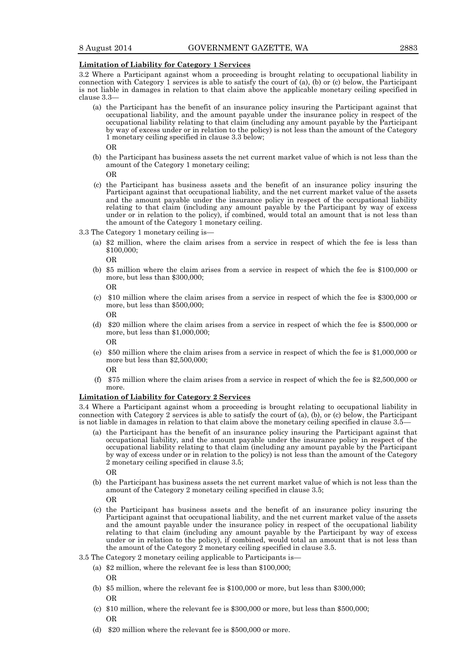#### **Limitation of Liability for Category 1 Services**

3.2 Where a Participant against whom a proceeding is brought relating to occupational liability in connection with Category 1 services is able to satisfy the court of (a), (b) or (c) below, the Participant is not liable in damages in relation to that claim above the applicable monetary ceiling specified in clause 3.3—

(a) the Participant has the benefit of an insurance policy insuring the Participant against that occupational liability, and the amount payable under the insurance policy in respect of the occupational liability relating to that claim (including any amount payable by the Participant by way of excess under or in relation to the policy) is not less than the amount of the Category 1 monetary ceiling specified in clause 3.3 below;

OR

(b) the Participant has business assets the net current market value of which is not less than the amount of the Category 1 monetary ceiling;

OR

- (c) the Participant has business assets and the benefit of an insurance policy insuring the Participant against that occupational liability, and the net current market value of the assets and the amount payable under the insurance policy in respect of the occupational liability relating to that claim (including any amount payable by the Participant by way of excess under or in relation to the policy), if combined, would total an amount that is not less than the amount of the Category 1 monetary ceiling.
- 3.3 The Category 1 monetary ceiling is—
	- (a) \$2 million, where the claim arises from a service in respect of which the fee is less than \$100,000;

OR

(b) \$5 million where the claim arises from a service in respect of which the fee is \$100,000 or more, but less than \$300,000;

OR

(c) \$10 million where the claim arises from a service in respect of which the fee is \$300,000 or more, but less than \$500,000;

OR

(d) \$20 million where the claim arises from a service in respect of which the fee is \$500,000 or more, but less than \$1,000,000;

OR

(e) \$50 million where the claim arises from a service in respect of which the fee is \$1,000,000 or more but less than \$2,500,000;

OR

(f) \$75 million where the claim arises from a service in respect of which the fee is \$2,500,000 or more.

#### **Limitation of Liability for Category 2 Services**

3.4 Where a Participant against whom a proceeding is brought relating to occupational liability in connection with Category 2 services is able to satisfy the court of (a), (b), or (c) below, the Participant is not liable in damages in relation to that claim above the monetary ceiling specified in clause 3.5—

- (a) the Participant has the benefit of an insurance policy insuring the Participant against that occupational liability, and the amount payable under the insurance policy in respect of the occupational liability relating to that claim (including any amount payable by the Participant by way of excess under or in relation to the policy) is not less than the amount of the Category 2 monetary ceiling specified in clause 3.5; OR
- (b) the Participant has business assets the net current market value of which is not less than the amount of the Category 2 monetary ceiling specified in clause 3.5; OR
- (c) the Participant has business assets and the benefit of an insurance policy insuring the Participant against that occupational liability, and the net current market value of the assets and the amount payable under the insurance policy in respect of the occupational liability relating to that claim (including any amount payable by the Participant by way of excess under or in relation to the policy), if combined, would total an amount that is not less than the amount of the Category 2 monetary ceiling specified in clause 3.5.
- 3.5 The Category 2 monetary ceiling applicable to Participants is—
	- (a) \$2 million, where the relevant fee is less than \$100,000;

OR

- (b) \$5 million, where the relevant fee is \$100,000 or more, but less than \$300,000; OR
- (c) \$10 million, where the relevant fee is \$300,000 or more, but less than \$500,000; OR
- (d) \$20 million where the relevant fee is \$500,000 or more.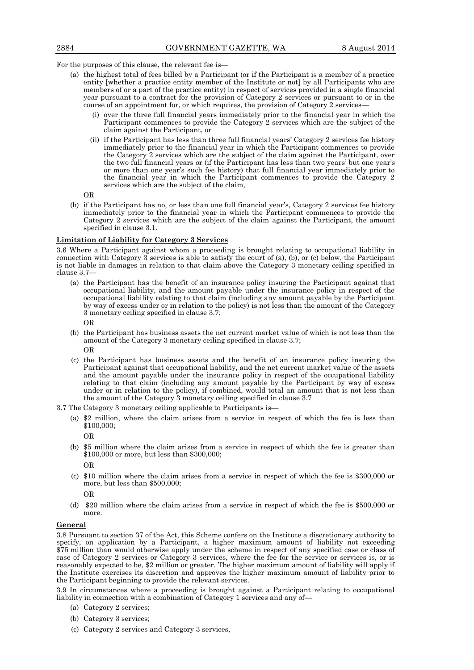For the purposes of this clause, the relevant fee is—

- (a) the highest total of fees billed by a Participant (or if the Participant is a member of a practice entity [whether a practice entity member of the Institute or not] by all Participants who are members of or a part of the practice entity) in respect of services provided in a single financial year pursuant to a contract for the provision of Category 2 services or pursuant to or in the course of an appointment for, or which requires, the provision of Category 2 services—
	- (i) over the three full financial years immediately prior to the financial year in which the Participant commences to provide the Category 2 services which are the subject of the claim against the Participant, or
	- (ii) if the Participant has less than three full financial years' Category 2 services fee history immediately prior to the financial year in which the Participant commences to provide the Category 2 services which are the subject of the claim against the Participant, over the two full financial years or (if the Participant has less than two years' but one year's or more than one year's such fee history) that full financial year immediately prior to the financial year in which the Participant commences to provide the Category 2 services which are the subject of the claim,

OR

(b) if the Participant has no, or less than one full financial year's, Category 2 services fee history immediately prior to the financial year in which the Participant commences to provide the Category 2 services which are the subject of the claim against the Participant, the amount specified in clause 3.1.

#### **Limitation of Liability for Category 3 Services**

3.6 Where a Participant against whom a proceeding is brought relating to occupational liability in connection with Category  $3$  services is able to satisfy the court of (a), (b), or (c) below, the Participant is not liable in damages in relation to that claim above the Category 3 monetary ceiling specified in clause 3.7—

- (a) the Participant has the benefit of an insurance policy insuring the Participant against that occupational liability, and the amount payable under the insurance policy in respect of the occupational liability relating to that claim (including any amount payable by the Participant by way of excess under or in relation to the policy) is not less than the amount of the Category 3 monetary ceiling specified in clause 3.7;
	- OR
- (b) the Participant has business assets the net current market value of which is not less than the amount of the Category 3 monetary ceiling specified in clause 3.7; OR
- (c) the Participant has business assets and the benefit of an insurance policy insuring the Participant against that occupational liability, and the net current market value of the assets and the amount payable under the insurance policy in respect of the occupational liability relating to that claim (including any amount payable by the Participant by way of excess under or in relation to the policy), if combined, would total an amount that is not less than the amount of the Category 3 monetary ceiling specified in clause 3.7
- 3.7 The Category 3 monetary ceiling applicable to Participants is—
	- (a) \$2 million, where the claim arises from a service in respect of which the fee is less than \$100,000;

OR

(b) \$5 million where the claim arises from a service in respect of which the fee is greater than \$100,000 or more, but less than \$300,000;

OR

(c) \$10 million where the claim arises from a service in respect of which the fee is \$300,000 or more, but less than \$500,000;

OR

(d) \$20 million where the claim arises from a service in respect of which the fee is \$500,000 or more.

#### **General**

3.8 Pursuant to section 37 of the Act, this Scheme confers on the Institute a discretionary authority to specify, on application by a Participant, a higher maximum amount of liability not exceeding \$75 million than would otherwise apply under the scheme in respect of any specified case or class of case of Category 2 services or Category 3 services, where the fee for the service or services is, or is reasonably expected to be, \$2 million or greater. The higher maximum amount of liability will apply if the Institute exercises its discretion and approves the higher maximum amount of liability prior to the Participant beginning to provide the relevant services.

3.9 In circumstances where a proceeding is brought against a Participant relating to occupational liability in connection with a combination of Category 1 services and any of—

- (a) Category 2 services;
- (b) Category 3 services;
- (c) Category 2 services and Category 3 services,